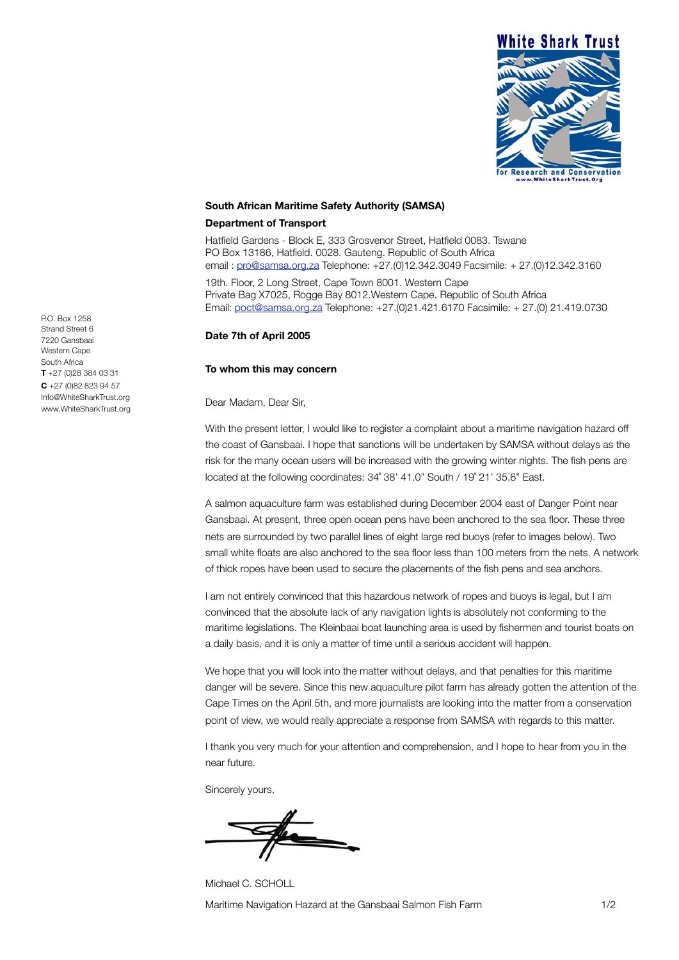

## **South African Maritime Safety Authority (SAMSA)**

## **Department of Transport**

Hatfield Gardens - Block E, 333 Grosvenor Street, Hatfield 0083. Tswane PO Box 13186, Hatfield. 0028. Gauteng. Republic of South Africa email : pro@samsa.org.za Telephone: +27.(0)12.342.3049 Facsimile: + 27.(0)12.342.3160 19th. Floor, 2 Long Street, Cape Town 8001. Western Cape Private Bag X7025, Rogge Bay 8012.Western Cape. Republic of South Africa

Email: poct@samsa.org.za Telephone: +27.(0)21.421.6170 Facsimile: + 27.(0) 21.419.0730

## **Date 7th of April 2005**

## **To whom this may concern**

Dear Madam, Dear Sir,

With the present letter, I would like to register a complaint about a maritime navigation hazard off the coast of Gansbaai. I hope that sanctions will be undertaken by SAMSA without delays as the risk for the many ocean users will be increased with the growing winter nights. The fish pens are located at the following coordinates: 34˚ 38' 41.0" South / 19˚ 21' 35.6" East.

A salmon aquaculture farm was established during December 2004 east of Danger Point near Gansbaai. At present, three open ocean pens have been anchored to the sea floor. These three nets are surrounded by two parallel lines of eight large red buoys (refer to images below). Two small white floats are also anchored to the sea floor less than 100 meters from the nets. A network of thick ropes have been used to secure the placements of the fish pens and sea anchors.

I am not entirely convinced that this hazardous network of ropes and buoys is legal, but I am convinced that the absolute lack of any navigation lights is absolutely not conforming to the maritime legislations. The Kleinbaai boat launching area is used by fishermen and tourist boats on a daily basis, and it is only a matter of time until a serious accident will happen.

We hope that you will look into the matter without delays, and that penalties for this maritime danger will be severe. Since this new aquaculture pilot farm has already gotten the attention of the Cape Times on the April 5th, and more journalists are looking into the matter from a conservation point of view, we would really appreciate a response from SAMSA with regards to this matter.

I thank you very much for your attention and comprehension, and I hope to hear from you in the near future.

Sincerely yours,

Michael C. SCHOLL Maritime Navigation Hazard at the Gansbaai Salmon Fish Farm 1/2

P.O. Box 1258 Strand Street 6 7220 Gansbaai Western Cane South Africa **T** +27 (0)28 384 03 31 **C** +27 (0)82 823 94 57 Info@WhiteSharkTrust.org www.WhiteSharkTrust.org